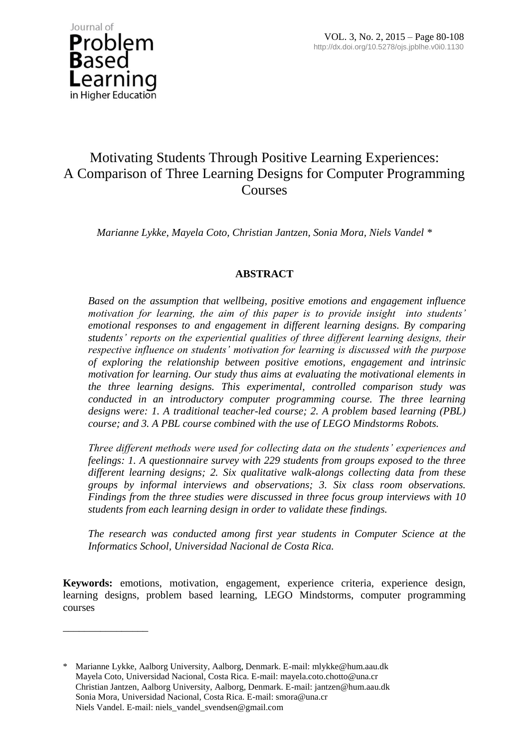

\_\_\_\_\_\_\_\_\_\_\_\_\_\_\_\_

# Motivating Students Through Positive Learning Experiences: A Comparison of Three Learning Designs for Computer Programming **Courses**

*Marianne Lykke, Mayela Coto, Christian Jantzen, Sonia Mora, Niels Vandel \**

## **ABSTRACT**

*Based on the assumption that wellbeing, positive emotions and engagement influence motivation for learning, the aim of this paper is to provide insight into students' emotional responses to and engagement in different learning designs. By comparing students' reports on the experiential qualities of three different learning designs, their respective influence on students' motivation for learning is discussed with the purpose of exploring the relationship between positive emotions, engagement and intrinsic motivation for learning. Our study thus aims at evaluating the motivational elements in the three learning designs. This experimental, controlled comparison study was conducted in an introductory computer programming course. The three learning designs were: 1. A traditional teacher-led course; 2. A problem based learning (PBL) course; and 3. A PBL course combined with the use of LEGO Mindstorms Robots.* 

*Three different methods were used for collecting data on the students' experiences and feelings: 1. A questionnaire survey with 229 students from groups exposed to the three different learning designs; 2. Six qualitative walk-alongs collecting data from these groups by informal interviews and observations; 3. Six class room observations. Findings from the three studies were discussed in three focus group interviews with 10 students from each learning design in order to validate these findings.*

*The research was conducted among first year students in Computer Science at the Informatics School, Universidad Nacional de Costa Rica.* 

**Keywords:** emotions, motivation, engagement, experience criteria, experience design, learning designs, problem based learning, LEGO Mindstorms, computer programming courses

Marianne Lykke, Aalborg University, Aalborg, Denmark. E-mail: mlykke@hum.aau.dk Mayela Coto, Universidad Nacional, Costa Rica. E-mail: mayela.coto.chotto@una.cr Christian Jantzen, Aalborg University, Aalborg, Denmark. E-mail: jantzen@hum.aau.dk Sonia Mora, Universidad Nacional, Costa Rica. E-mail: smora@una.cr Niels Vandel. E-mail: niels\_vandel\_svendsen@gmail.com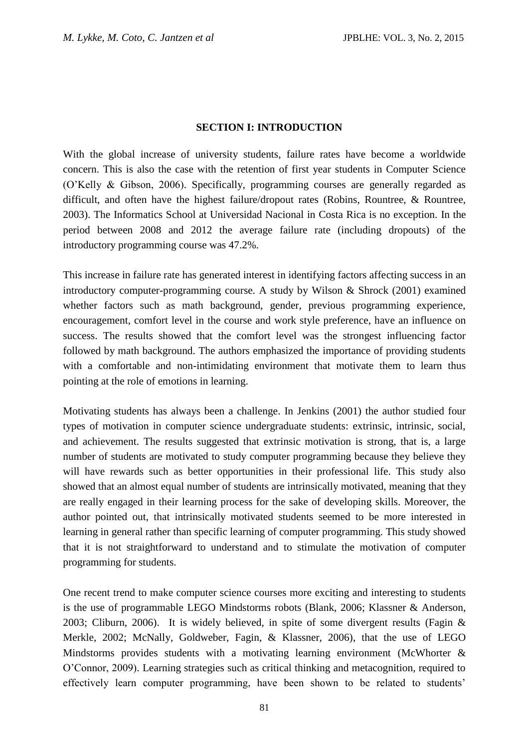### **SECTION I: INTRODUCTION**

With the global increase of university students, failure rates have become a worldwide concern. This is also the case with the retention of first year students in Computer Science (O'Kelly & Gibson, 2006). Specifically, programming courses are generally regarded as difficult, and often have the highest failure/dropout rates (Robins, Rountree, & Rountree, 2003). The Informatics School at Universidad Nacional in Costa Rica is no exception. In the period between 2008 and 2012 the average failure rate (including dropouts) of the introductory programming course was 47.2%.

This increase in failure rate has generated interest in identifying factors affecting success in an introductory computer-programming course. A study by Wilson & Shrock (2001) examined whether factors such as math background, gender, previous programming experience, encouragement, comfort level in the course and work style preference, have an influence on success. The results showed that the comfort level was the strongest influencing factor followed by math background. The authors emphasized the importance of providing students with a comfortable and non-intimidating environment that motivate them to learn thus pointing at the role of emotions in learning.

Motivating students has always been a challenge. In Jenkins (2001) the author studied four types of motivation in computer science undergraduate students: extrinsic, intrinsic, social, and achievement. The results suggested that extrinsic motivation is strong, that is, a large number of students are motivated to study computer programming because they believe they will have rewards such as better opportunities in their professional life. This study also showed that an almost equal number of students are intrinsically motivated, meaning that they are really engaged in their learning process for the sake of developing skills. Moreover, the author pointed out, that intrinsically motivated students seemed to be more interested in learning in general rather than specific learning of computer programming. This study showed that it is not straightforward to understand and to stimulate the motivation of computer programming for students.

One recent trend to make computer science courses more exciting and interesting to students is the use of programmable LEGO Mindstorms robots (Blank, 2006; Klassner & Anderson, 2003; Cliburn, 2006). It is widely believed, in spite of some divergent results (Fagin & Merkle, 2002; McNally, Goldweber, Fagin, & Klassner, 2006), that the use of LEGO Mindstorms provides students with a motivating learning environment (McWhorter & O'Connor, 2009). Learning strategies such as critical thinking and metacognition, required to effectively learn computer programming, have been shown to be related to students'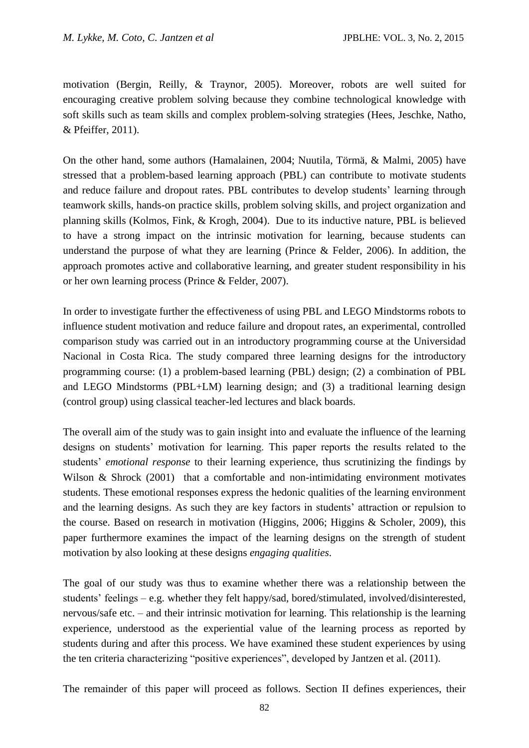motivation (Bergin, Reilly, & Traynor, 2005). Moreover, robots are well suited for encouraging creative problem solving because they combine technological knowledge with soft skills such as team skills and complex problem-solving strategies (Hees, Jeschke, Natho, & Pfeiffer, 2011).

On the other hand, some authors (Hamalainen, 2004; Nuutila, Törmä, & Malmi, 2005) have stressed that a problem-based learning approach (PBL) can contribute to motivate students and reduce failure and dropout rates. PBL contributes to develop students' learning through teamwork skills, hands-on practice skills, problem solving skills, and project organization and planning skills (Kolmos, Fink, & Krogh, 2004). Due to its inductive nature, PBL is believed to have a strong impact on the intrinsic motivation for learning, because students can understand the purpose of what they are learning (Prince & Felder, 2006). In addition, the approach promotes active and collaborative learning, and greater student responsibility in his or her own learning process (Prince & Felder, 2007).

In order to investigate further the effectiveness of using PBL and LEGO Mindstorms robots to influence student motivation and reduce failure and dropout rates, an experimental, controlled comparison study was carried out in an introductory programming course at the Universidad Nacional in Costa Rica. The study compared three learning designs for the introductory programming course: (1) a problem-based learning (PBL) design; (2) a combination of PBL and LEGO Mindstorms (PBL+LM) learning design; and (3) a traditional learning design (control group) using classical teacher-led lectures and black boards.

The overall aim of the study was to gain insight into and evaluate the influence of the learning designs on students' motivation for learning. This paper reports the results related to the students' *emotional response* to their learning experience, thus scrutinizing the findings by Wilson & Shrock (2001) that a comfortable and non-intimidating environment motivates students. These emotional responses express the hedonic qualities of the learning environment and the learning designs. As such they are key factors in students' attraction or repulsion to the course. Based on research in motivation (Higgins, 2006; Higgins & Scholer, 2009), this paper furthermore examines the impact of the learning designs on the strength of student motivation by also looking at these designs *engaging qualities*.

The goal of our study was thus to examine whether there was a relationship between the students' feelings – e.g. whether they felt happy/sad, bored/stimulated, involved/disinterested, nervous/safe etc. – and their intrinsic motivation for learning. This relationship is the learning experience, understood as the experiential value of the learning process as reported by students during and after this process. We have examined these student experiences by using the ten criteria characterizing "positive experiences", developed by Jantzen et al. (2011).

The remainder of this paper will proceed as follows. Section II defines experiences, their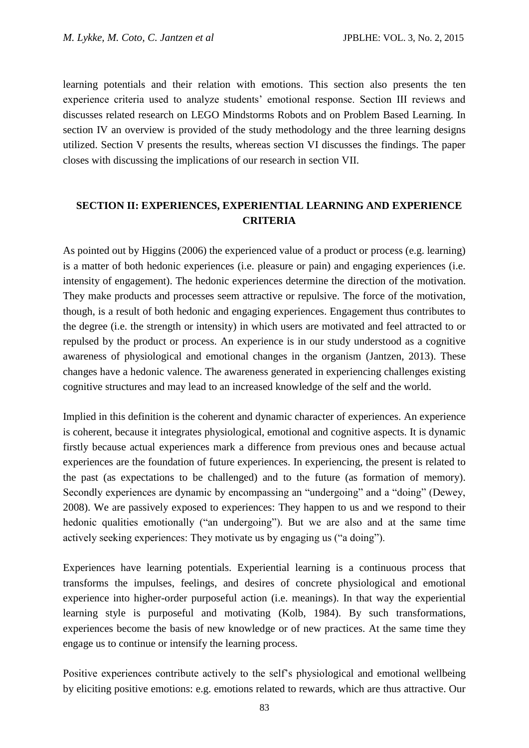learning potentials and their relation with emotions. This section also presents the ten experience criteria used to analyze students' emotional response. Section III reviews and discusses related research on LEGO Mindstorms Robots and on Problem Based Learning. In section IV an overview is provided of the study methodology and the three learning designs utilized. Section V presents the results, whereas section VI discusses the findings. The paper closes with discussing the implications of our research in section VII.

## **SECTION II: EXPERIENCES, EXPERIENTIAL LEARNING AND EXPERIENCE CRITERIA**

As pointed out by Higgins (2006) the experienced value of a product or process (e.g. learning) is a matter of both hedonic experiences (i.e. pleasure or pain) and engaging experiences (i.e. intensity of engagement). The hedonic experiences determine the direction of the motivation. They make products and processes seem attractive or repulsive. The force of the motivation, though, is a result of both hedonic and engaging experiences. Engagement thus contributes to the degree (i.e. the strength or intensity) in which users are motivated and feel attracted to or repulsed by the product or process. An experience is in our study understood as a cognitive awareness of physiological and emotional changes in the organism (Jantzen, 2013). These changes have a hedonic valence. The awareness generated in experiencing challenges existing cognitive structures and may lead to an increased knowledge of the self and the world.

Implied in this definition is the coherent and dynamic character of experiences. An experience is coherent, because it integrates physiological, emotional and cognitive aspects. It is dynamic firstly because actual experiences mark a difference from previous ones and because actual experiences are the foundation of future experiences. In experiencing, the present is related to the past (as expectations to be challenged) and to the future (as formation of memory). Secondly experiences are dynamic by encompassing an "undergoing" and a "doing" (Dewey, 2008). We are passively exposed to experiences: They happen to us and we respond to their hedonic qualities emotionally ("an undergoing"). But we are also and at the same time actively seeking experiences: They motivate us by engaging us ("a doing").

Experiences have learning potentials. Experiential learning is a continuous process that transforms the impulses, feelings, and desires of concrete physiological and emotional experience into higher-order purposeful action (i.e. meanings). In that way the experiential learning style is purposeful and motivating (Kolb, 1984). By such transformations, experiences become the basis of new knowledge or of new practices. At the same time they engage us to continue or intensify the learning process.

Positive experiences contribute actively to the self's physiological and emotional wellbeing by eliciting positive emotions: e.g. emotions related to rewards, which are thus attractive. Our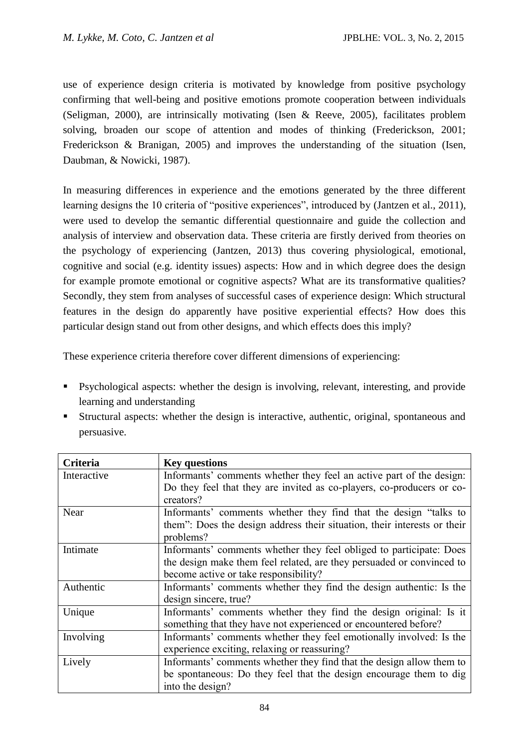use of experience design criteria is motivated by knowledge from positive psychology confirming that well-being and positive emotions promote cooperation between individuals (Seligman, 2000), are intrinsically motivating (Isen & Reeve, 2005), facilitates problem solving, broaden our scope of attention and modes of thinking (Frederickson, 2001; Frederickson & Branigan, 2005) and improves the understanding of the situation (Isen, Daubman, & Nowicki, 1987).

In measuring differences in experience and the emotions generated by the three different learning designs the 10 criteria of "positive experiences", introduced by (Jantzen et al., 2011), were used to develop the semantic differential questionnaire and guide the collection and analysis of interview and observation data. These criteria are firstly derived from theories on the psychology of experiencing (Jantzen, 2013) thus covering physiological, emotional, cognitive and social (e.g. identity issues) aspects: How and in which degree does the design for example promote emotional or cognitive aspects? What are its transformative qualities? Secondly, they stem from analyses of successful cases of experience design: Which structural features in the design do apparently have positive experiential effects? How does this particular design stand out from other designs, and which effects does this imply?

These experience criteria therefore cover different dimensions of experiencing:

- Psychological aspects: whether the design is involving, relevant, interesting, and provide learning and understanding
- Structural aspects: whether the design is interactive, authentic, original, spontaneous and persuasive.

| Criteria    | <b>Key questions</b>                                                     |
|-------------|--------------------------------------------------------------------------|
| Interactive | Informants' comments whether they feel an active part of the design:     |
|             | Do they feel that they are invited as co-players, co-producers or co-    |
|             | creators?                                                                |
| Near        | Informants' comments whether they find that the design "talks to         |
|             | them": Does the design address their situation, their interests or their |
|             | problems?                                                                |
| Intimate    | Informants' comments whether they feel obliged to participate: Does      |
|             | the design make them feel related, are they persuaded or convinced to    |
|             | become active or take responsibility?                                    |
| Authentic   | Informants' comments whether they find the design authentic: Is the      |
|             | design sincere, true?                                                    |
| Unique      | Informants' comments whether they find the design original: Is it        |
|             | something that they have not experienced or encountered before?          |
| Involving   | Informants' comments whether they feel emotionally involved: Is the      |
|             | experience exciting, relaxing or reassuring?                             |
| Lively      | Informants' comments whether they find that the design allow them to     |
|             | be spontaneous: Do they feel that the design encourage them to dig       |
|             | into the design?                                                         |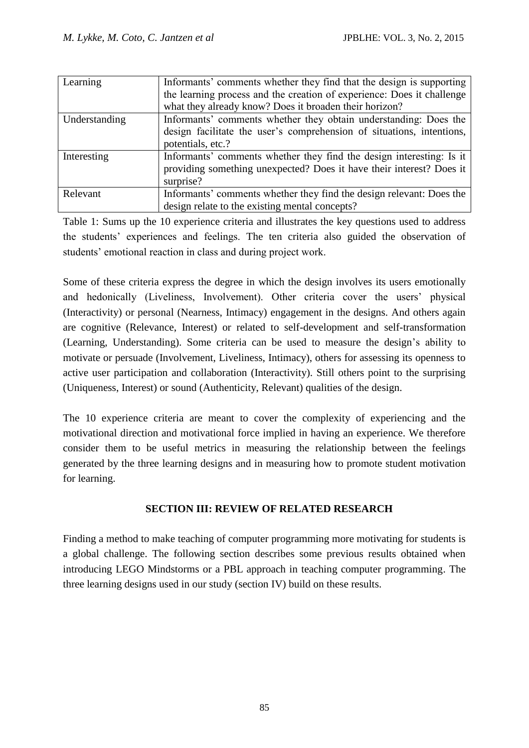| Learning      | Informants' comments whether they find that the design is supporting   |
|---------------|------------------------------------------------------------------------|
|               | the learning process and the creation of experience: Does it challenge |
|               | what they already know? Does it broaden their horizon?                 |
| Understanding | Informants' comments whether they obtain understanding: Does the       |
|               | design facilitate the user's comprehension of situations, intentions,  |
|               | potentials, etc.?                                                      |
| Interesting   | Informants' comments whether they find the design interesting: Is it   |
|               | providing something unexpected? Does it have their interest? Does it   |
|               | surprise?                                                              |
| Relevant      | Informants' comments whether they find the design relevant: Does the   |
|               | design relate to the existing mental concepts?                         |

Table 1: Sums up the 10 experience criteria and illustrates the key questions used to address the students' experiences and feelings. The ten criteria also guided the observation of students' emotional reaction in class and during project work.

Some of these criteria express the degree in which the design involves its users emotionally and hedonically (Liveliness, Involvement). Other criteria cover the users' physical (Interactivity) or personal (Nearness, Intimacy) engagement in the designs. And others again are cognitive (Relevance, Interest) or related to self-development and self-transformation (Learning, Understanding). Some criteria can be used to measure the design's ability to motivate or persuade (Involvement, Liveliness, Intimacy), others for assessing its openness to active user participation and collaboration (Interactivity). Still others point to the surprising (Uniqueness, Interest) or sound (Authenticity, Relevant) qualities of the design.

The 10 experience criteria are meant to cover the complexity of experiencing and the motivational direction and motivational force implied in having an experience. We therefore consider them to be useful metrics in measuring the relationship between the feelings generated by the three learning designs and in measuring how to promote student motivation for learning.

## **SECTION III: REVIEW OF RELATED RESEARCH**

Finding a method to make teaching of computer programming more motivating for students is a global challenge. The following section describes some previous results obtained when introducing LEGO Mindstorms or a PBL approach in teaching computer programming. The three learning designs used in our study (section IV) build on these results.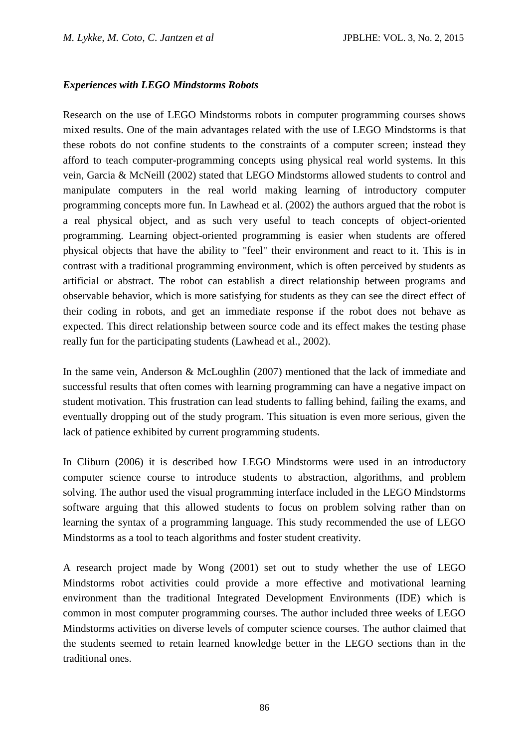#### *Experiences with LEGO Mindstorms Robots*

Research on the use of LEGO Mindstorms robots in computer programming courses shows mixed results. One of the main advantages related with the use of LEGO Mindstorms is that these robots do not confine students to the constraints of a computer screen; instead they afford to teach computer-programming concepts using physical real world systems. In this vein, Garcia & McNeill (2002) stated that LEGO Mindstorms allowed students to control and manipulate computers in the real world making learning of introductory computer programming concepts more fun. In Lawhead et al. (2002) the authors argued that the robot is a real physical object, and as such very useful to teach concepts of object-oriented programming. Learning object-oriented programming is easier when students are offered physical objects that have the ability to "feel" their environment and react to it. This is in contrast with a traditional programming environment, which is often perceived by students as artificial or abstract. The robot can establish a direct relationship between programs and observable behavior, which is more satisfying for students as they can see the direct effect of their coding in robots, and get an immediate response if the robot does not behave as expected. This direct relationship between source code and its effect makes the testing phase really fun for the participating students (Lawhead et al., 2002).

In the same vein, Anderson & McLoughlin (2007) mentioned that the lack of immediate and successful results that often comes with learning programming can have a negative impact on student motivation. This frustration can lead students to falling behind, failing the exams, and eventually dropping out of the study program. This situation is even more serious, given the lack of patience exhibited by current programming students.

In Cliburn (2006) it is described how LEGO Mindstorms were used in an introductory computer science course to introduce students to abstraction, algorithms, and problem solving. The author used the visual programming interface included in the LEGO Mindstorms software arguing that this allowed students to focus on problem solving rather than on learning the syntax of a programming language. This study recommended the use of LEGO Mindstorms as a tool to teach algorithms and foster student creativity.

A research project made by Wong (2001) set out to study whether the use of LEGO Mindstorms robot activities could provide a more effective and motivational learning environment than the traditional Integrated Development Environments (IDE) which is common in most computer programming courses. The author included three weeks of LEGO Mindstorms activities on diverse levels of computer science courses. The author claimed that the students seemed to retain learned knowledge better in the LEGO sections than in the traditional ones.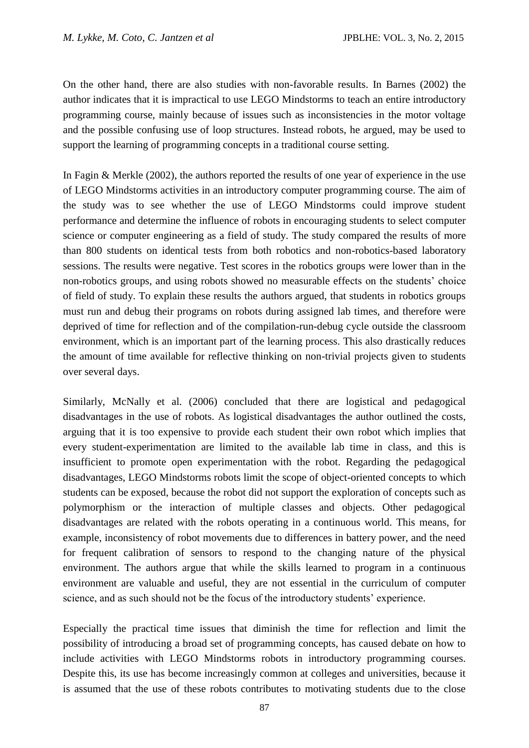On the other hand, there are also studies with non-favorable results. In Barnes (2002) the author indicates that it is impractical to use LEGO Mindstorms to teach an entire introductory programming course, mainly because of issues such as inconsistencies in the motor voltage and the possible confusing use of loop structures. Instead robots, he argued, may be used to support the learning of programming concepts in a traditional course setting.

In Fagin & Merkle (2002), the authors reported the results of one year of experience in the use of LEGO Mindstorms activities in an introductory computer programming course. The aim of the study was to see whether the use of LEGO Mindstorms could improve student performance and determine the influence of robots in encouraging students to select computer science or computer engineering as a field of study. The study compared the results of more than 800 students on identical tests from both robotics and non-robotics-based laboratory sessions. The results were negative. Test scores in the robotics groups were lower than in the non-robotics groups, and using robots showed no measurable effects on the students' choice of field of study. To explain these results the authors argued, that students in robotics groups must run and debug their programs on robots during assigned lab times, and therefore were deprived of time for reflection and of the compilation-run-debug cycle outside the classroom environment, which is an important part of the learning process. This also drastically reduces the amount of time available for reflective thinking on non-trivial projects given to students over several days.

Similarly, McNally et al. (2006) concluded that there are logistical and pedagogical disadvantages in the use of robots. As logistical disadvantages the author outlined the costs, arguing that it is too expensive to provide each student their own robot which implies that every student-experimentation are limited to the available lab time in class, and this is insufficient to promote open experimentation with the robot. Regarding the pedagogical disadvantages, LEGO Mindstorms robots limit the scope of object-oriented concepts to which students can be exposed, because the robot did not support the exploration of concepts such as polymorphism or the interaction of multiple classes and objects. Other pedagogical disadvantages are related with the robots operating in a continuous world. This means, for example, inconsistency of robot movements due to differences in battery power, and the need for frequent calibration of sensors to respond to the changing nature of the physical environment. The authors argue that while the skills learned to program in a continuous environment are valuable and useful, they are not essential in the curriculum of computer science, and as such should not be the focus of the introductory students' experience.

Especially the practical time issues that diminish the time for reflection and limit the possibility of introducing a broad set of programming concepts, has caused debate on how to include activities with LEGO Mindstorms robots in introductory programming courses. Despite this, its use has become increasingly common at colleges and universities, because it is assumed that the use of these robots contributes to motivating students due to the close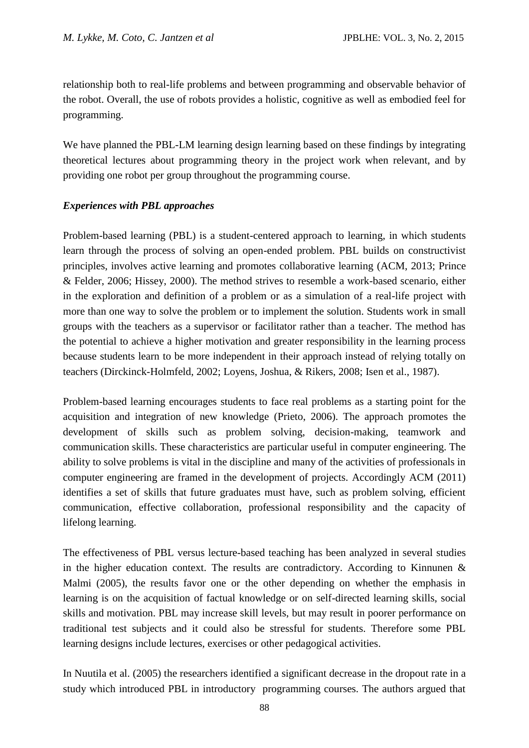relationship both to real-life problems and between programming and observable behavior of the robot. Overall, the use of robots provides a holistic, cognitive as well as embodied feel for programming.

We have planned the PBL-LM learning design learning based on these findings by integrating theoretical lectures about programming theory in the project work when relevant, and by providing one robot per group throughout the programming course.

### *Experiences with PBL approaches*

Problem-based learning (PBL) is a student-centered approach to learning, in which students learn through the process of solving an open-ended problem. PBL builds on constructivist principles, involves active learning and promotes collaborative learning (ACM, 2013; Prince & Felder, 2006; Hissey, 2000). The method strives to resemble a work-based scenario, either in the exploration and definition of a problem or as a simulation of a real-life project with more than one way to solve the problem or to implement the solution. Students work in small groups with the teachers as a supervisor or facilitator rather than a teacher. The method has the potential to achieve a higher motivation and greater responsibility in the learning process because students learn to be more independent in their approach instead of relying totally on teachers (Dirckinck-Holmfeld, 2002; Loyens, Joshua, & Rikers, 2008; Isen et al., 1987).

Problem-based learning encourages students to face real problems as a starting point for the acquisition and integration of new knowledge (Prieto, 2006). The approach promotes the development of skills such as problem solving, decision-making, teamwork and communication skills. These characteristics are particular useful in computer engineering. The ability to solve problems is vital in the discipline and many of the activities of professionals in computer engineering are framed in the development of projects. Accordingly ACM (2011) identifies a set of skills that future graduates must have, such as problem solving, efficient communication, effective collaboration, professional responsibility and the capacity of lifelong learning.

The effectiveness of PBL versus lecture-based teaching has been analyzed in several studies in the higher education context. The results are contradictory. According to Kinnunen  $\&$ Malmi (2005), the results favor one or the other depending on whether the emphasis in learning is on the acquisition of factual knowledge or on self-directed learning skills, social skills and motivation. PBL may increase skill levels, but may result in poorer performance on traditional test subjects and it could also be stressful for students. Therefore some PBL learning designs include lectures, exercises or other pedagogical activities.

In Nuutila et al. (2005) the researchers identified a significant decrease in the dropout rate in a study which introduced PBL in introductory programming courses. The authors argued that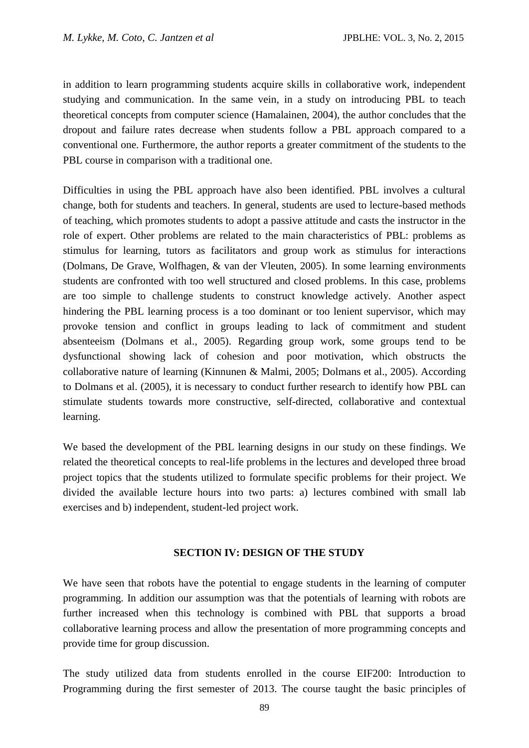in addition to learn programming students acquire skills in collaborative work, independent studying and communication. In the same vein, in a study on introducing PBL to teach theoretical concepts from computer science (Hamalainen, 2004), the author concludes that the dropout and failure rates decrease when students follow a PBL approach compared to a conventional one. Furthermore, the author reports a greater commitment of the students to the PBL course in comparison with a traditional one.

Difficulties in using the PBL approach have also been identified. PBL involves a cultural change, both for students and teachers. In general, students are used to lecture-based methods of teaching, which promotes students to adopt a passive attitude and casts the instructor in the role of expert. Other problems are related to the main characteristics of PBL: problems as stimulus for learning, tutors as facilitators and group work as stimulus for interactions (Dolmans, De Grave, Wolfhagen, & van der Vleuten, 2005). In some learning environments students are confronted with too well structured and closed problems. In this case, problems are too simple to challenge students to construct knowledge actively. Another aspect hindering the PBL learning process is a too dominant or too lenient supervisor, which may provoke tension and conflict in groups leading to lack of commitment and student absenteeism (Dolmans et al., 2005). Regarding group work, some groups tend to be dysfunctional showing lack of cohesion and poor motivation, which obstructs the collaborative nature of learning (Kinnunen & Malmi, 2005; Dolmans et al., 2005). According to Dolmans et al. (2005), it is necessary to conduct further research to identify how PBL can stimulate students towards more constructive, self-directed, collaborative and contextual learning.

We based the development of the PBL learning designs in our study on these findings. We related the theoretical concepts to real-life problems in the lectures and developed three broad project topics that the students utilized to formulate specific problems for their project. We divided the available lecture hours into two parts: a) lectures combined with small lab exercises and b) independent, student-led project work.

#### **SECTION IV: DESIGN OF THE STUDY**

We have seen that robots have the potential to engage students in the learning of computer programming. In addition our assumption was that the potentials of learning with robots are further increased when this technology is combined with PBL that supports a broad collaborative learning process and allow the presentation of more programming concepts and provide time for group discussion.

The study utilized data from students enrolled in the course EIF200: Introduction to Programming during the first semester of 2013. The course taught the basic principles of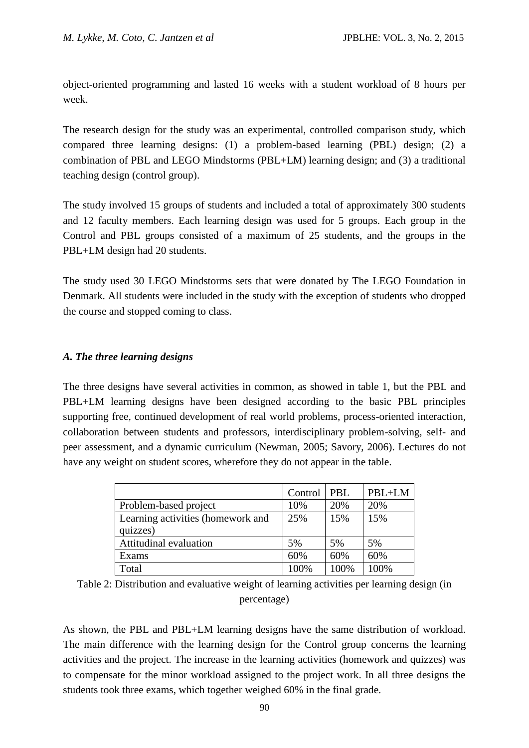object-oriented programming and lasted 16 weeks with a student workload of 8 hours per week.

The research design for the study was an experimental, controlled comparison study, which compared three learning designs: (1) a problem-based learning (PBL) design; (2) a combination of PBL and LEGO Mindstorms (PBL+LM) learning design; and (3) a traditional teaching design (control group).

The study involved 15 groups of students and included a total of approximately 300 students and 12 faculty members. Each learning design was used for 5 groups. Each group in the Control and PBL groups consisted of a maximum of 25 students, and the groups in the PBL+LM design had 20 students.

The study used 30 LEGO Mindstorms sets that were donated by The LEGO Foundation in Denmark. All students were included in the study with the exception of students who dropped the course and stopped coming to class.

### *A. The three learning designs*

The three designs have several activities in common, as showed in table 1, but the PBL and PBL+LM learning designs have been designed according to the basic PBL principles supporting free, continued development of real world problems, process-oriented interaction, collaboration between students and professors, interdisciplinary problem-solving, self- and peer assessment, and a dynamic curriculum (Newman, 2005; Savory, 2006). Lectures do not have any weight on student scores, wherefore they do not appear in the table.

|                                   | Control | PBL  | PBL+LM |
|-----------------------------------|---------|------|--------|
| Problem-based project             | 10%     | 20%  | 20%    |
| Learning activities (homework and | 25%     | 15%  | 15%    |
| quizzes)                          |         |      |        |
| Attitudinal evaluation            | 5%      | 5%   | 5%     |
| Exams                             | 60%     | 60%  | 60%    |
| Total                             | 100%    | 100% | 100%   |

Table 2: Distribution and evaluative weight of learning activities per learning design (in percentage)

As shown, the PBL and PBL+LM learning designs have the same distribution of workload. The main difference with the learning design for the Control group concerns the learning activities and the project. The increase in the learning activities (homework and quizzes) was to compensate for the minor workload assigned to the project work. In all three designs the students took three exams, which together weighed 60% in the final grade.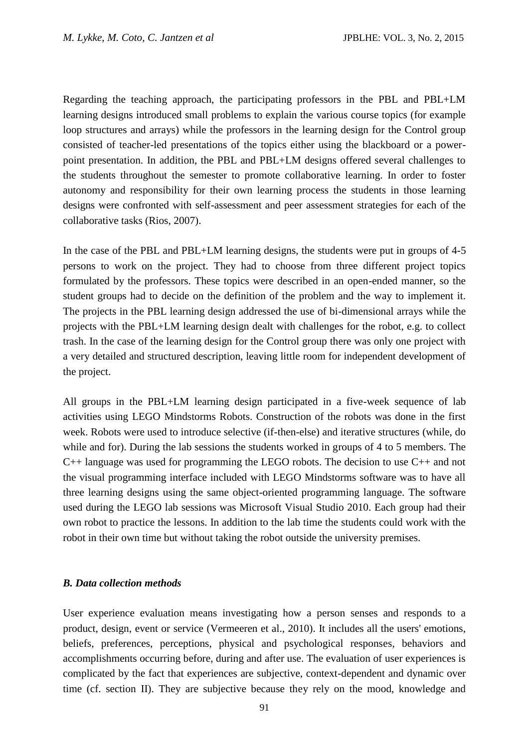Regarding the teaching approach, the participating professors in the PBL and PBL+LM learning designs introduced small problems to explain the various course topics (for example loop structures and arrays) while the professors in the learning design for the Control group consisted of teacher-led presentations of the topics either using the blackboard or a powerpoint presentation. In addition, the PBL and PBL+LM designs offered several challenges to the students throughout the semester to promote collaborative learning. In order to foster autonomy and responsibility for their own learning process the students in those learning designs were confronted with self-assessment and peer assessment strategies for each of the collaborative tasks (Rios, 2007).

In the case of the PBL and PBL+LM learning designs, the students were put in groups of 4-5 persons to work on the project. They had to choose from three different project topics formulated by the professors. These topics were described in an open-ended manner, so the student groups had to decide on the definition of the problem and the way to implement it. The projects in the PBL learning design addressed the use of bi-dimensional arrays while the projects with the PBL+LM learning design dealt with challenges for the robot, e.g. to collect trash. In the case of the learning design for the Control group there was only one project with a very detailed and structured description, leaving little room for independent development of the project.

All groups in the PBL+LM learning design participated in a five-week sequence of lab activities using LEGO Mindstorms Robots. Construction of the robots was done in the first week. Robots were used to introduce selective (if-then-else) and iterative structures (while, do while and for). During the lab sessions the students worked in groups of 4 to 5 members. The C++ language was used for programming the LEGO robots. The decision to use C++ and not the visual programming interface included with LEGO Mindstorms software was to have all three learning designs using the same object-oriented programming language. The software used during the LEGO lab sessions was Microsoft Visual Studio 2010. Each group had their own robot to practice the lessons. In addition to the lab time the students could work with the robot in their own time but without taking the robot outside the university premises.

#### *B. Data collection methods*

User experience evaluation means investigating how a person senses and responds to a product, design, event or service (Vermeeren et al., 2010). It includes all the users' emotions, beliefs, preferences, perceptions, physical and psychological responses, behaviors and accomplishments occurring before, during and after use. The evaluation of user experiences is complicated by the fact that experiences are subjective, context-dependent and dynamic over time (cf. section II). They are subjective because they rely on the mood, knowledge and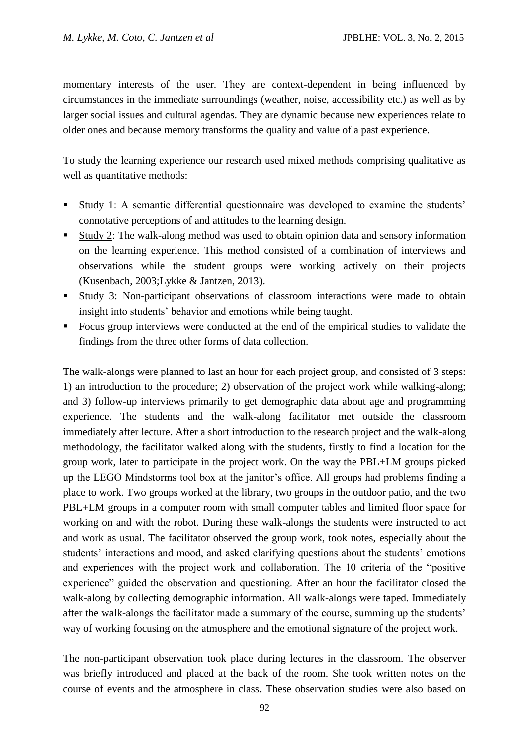momentary interests of the user. They are context-dependent in being influenced by circumstances in the immediate surroundings (weather, noise, accessibility etc.) as well as by larger social issues and cultural agendas. They are dynamic because new experiences relate to older ones and because memory transforms the quality and value of a past experience.

To study the learning experience our research used mixed methods comprising qualitative as well as quantitative methods:

- Study 1: A semantic differential questionnaire was developed to examine the students' connotative perceptions of and attitudes to the learning design.
- Study 2: The walk-along method was used to obtain opinion data and sensory information on the learning experience. This method consisted of a combination of interviews and observations while the student groups were working actively on their projects (Kusenbach, 2003;Lykke & Jantzen, 2013).
- Study 3: Non-participant observations of classroom interactions were made to obtain insight into students' behavior and emotions while being taught.
- Focus group interviews were conducted at the end of the empirical studies to validate the findings from the three other forms of data collection.

The walk-alongs were planned to last an hour for each project group, and consisted of 3 steps: 1) an introduction to the procedure; 2) observation of the project work while walking-along; and 3) follow-up interviews primarily to get demographic data about age and programming experience. The students and the walk-along facilitator met outside the classroom immediately after lecture. After a short introduction to the research project and the walk-along methodology, the facilitator walked along with the students, firstly to find a location for the group work, later to participate in the project work. On the way the PBL+LM groups picked up the LEGO Mindstorms tool box at the janitor's office. All groups had problems finding a place to work. Two groups worked at the library, two groups in the outdoor patio, and the two PBL+LM groups in a computer room with small computer tables and limited floor space for working on and with the robot. During these walk-alongs the students were instructed to act and work as usual. The facilitator observed the group work, took notes, especially about the students' interactions and mood, and asked clarifying questions about the students' emotions and experiences with the project work and collaboration. The 10 criteria of the "positive experience" guided the observation and questioning. After an hour the facilitator closed the walk-along by collecting demographic information. All walk-alongs were taped. Immediately after the walk-alongs the facilitator made a summary of the course, summing up the students' way of working focusing on the atmosphere and the emotional signature of the project work.

The non-participant observation took place during lectures in the classroom. The observer was briefly introduced and placed at the back of the room. She took written notes on the course of events and the atmosphere in class. These observation studies were also based on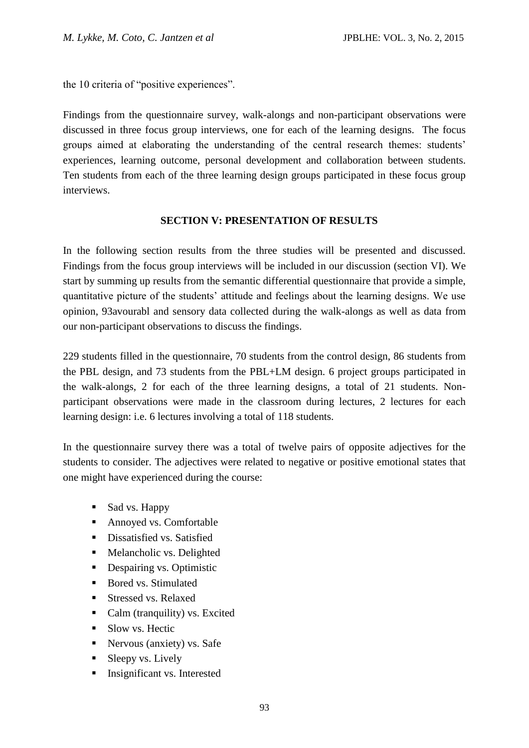the 10 criteria of "positive experiences".

Findings from the questionnaire survey, walk-alongs and non-participant observations were discussed in three focus group interviews, one for each of the learning designs. The focus groups aimed at elaborating the understanding of the central research themes: students' experiences, learning outcome, personal development and collaboration between students. Ten students from each of the three learning design groups participated in these focus group interviews.

#### **SECTION V: PRESENTATION OF RESULTS**

In the following section results from the three studies will be presented and discussed. Findings from the focus group interviews will be included in our discussion (section VI). We start by summing up results from the semantic differential questionnaire that provide a simple, quantitative picture of the students' attitude and feelings about the learning designs. We use opinion, 93avourabl and sensory data collected during the walk-alongs as well as data from our non-participant observations to discuss the findings.

229 students filled in the questionnaire, 70 students from the control design, 86 students from the PBL design, and 73 students from the PBL+LM design. 6 project groups participated in the walk-alongs, 2 for each of the three learning designs, a total of 21 students. Nonparticipant observations were made in the classroom during lectures, 2 lectures for each learning design: i.e. 6 lectures involving a total of 118 students.

In the questionnaire survey there was a total of twelve pairs of opposite adjectives for the students to consider. The adjectives were related to negative or positive emotional states that one might have experienced during the course:

- Sad vs. Happy
- Annoyed vs. Comfortable
- **Dissatisfied vs. Satisfied**
- Melancholic vs. Delighted
- Despairing vs. Optimistic
- Bored vs. Stimulated
- Stressed vs. Relaxed
- Calm (tranquility) vs. Excited
- Slow vs. Hectic
- **Nervous (anxiety) vs. Safe**
- $\blacksquare$  Sleepy vs. Lively
- **Insignificant vs. Interested**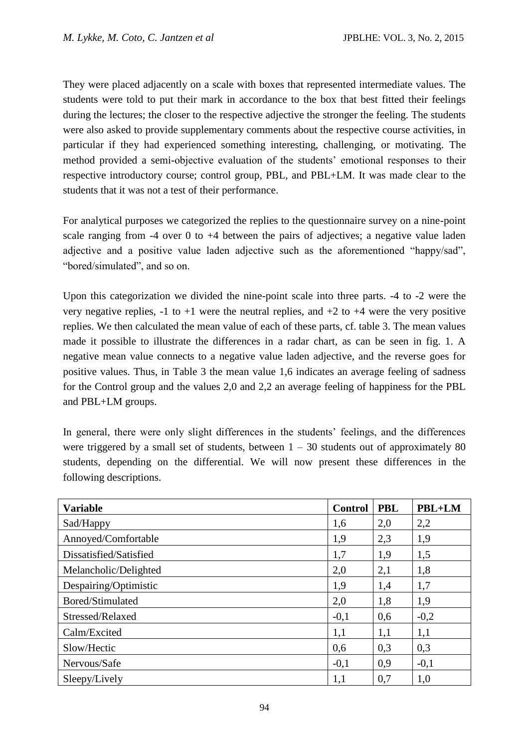They were placed adjacently on a scale with boxes that represented intermediate values. The students were told to put their mark in accordance to the box that best fitted their feelings during the lectures; the closer to the respective adjective the stronger the feeling. The students were also asked to provide supplementary comments about the respective course activities, in particular if they had experienced something interesting, challenging, or motivating. The method provided a semi-objective evaluation of the students' emotional responses to their respective introductory course; control group, PBL, and PBL+LM. It was made clear to the students that it was not a test of their performance.

For analytical purposes we categorized the replies to the questionnaire survey on a nine-point scale ranging from  $-4$  over 0 to  $+4$  between the pairs of adjectives; a negative value laden adjective and a positive value laden adjective such as the aforementioned "happy/sad", "bored/simulated", and so on.

Upon this categorization we divided the nine-point scale into three parts. -4 to -2 were the very negative replies,  $-1$  to  $+1$  were the neutral replies, and  $+2$  to  $+4$  were the very positive replies. We then calculated the mean value of each of these parts, cf. table 3. The mean values made it possible to illustrate the differences in a radar chart, as can be seen in fig. 1. A negative mean value connects to a negative value laden adjective, and the reverse goes for positive values. Thus, in Table 3 the mean value 1,6 indicates an average feeling of sadness for the Control group and the values 2,0 and 2,2 an average feeling of happiness for the PBL and PBL+LM groups.

In general, there were only slight differences in the students' feelings, and the differences were triggered by a small set of students, between  $1 - 30$  students out of approximately 80 students, depending on the differential. We will now present these differences in the following descriptions.

| <b>Variable</b>        |        | <b>PBL</b> | PBL+LM |
|------------------------|--------|------------|--------|
| Sad/Happy              |        | 2,0        | 2,2    |
| Annoyed/Comfortable    |        | 2,3        | 1,9    |
| Dissatisfied/Satisfied |        | 1,9        | 1,5    |
| Melancholic/Delighted  |        | 2,1        | 1,8    |
| Despairing/Optimistic  | 1,9    | 1,4        | 1,7    |
| Bored/Stimulated       | 2,0    | 1,8        | 1,9    |
| Stressed/Relaxed       | $-0,1$ | 0,6        | $-0,2$ |
| Calm/Excited           | 1,1    | 1,1        | 1,1    |
| Slow/Hectic            | 0,6    | 0,3        | 0,3    |
| Nervous/Safe           | $-0,1$ | 0,9        | $-0,1$ |
| Sleepy/Lively          | 1,1    | 0,7        | 1,0    |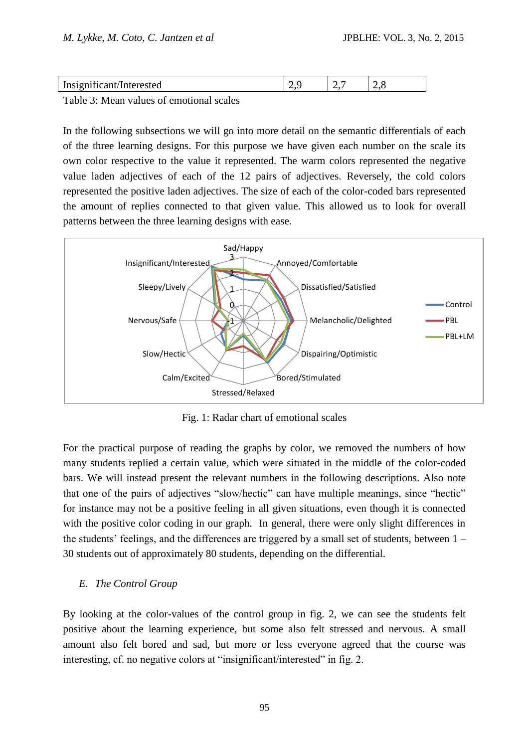| $\sim$<br>Ineqm<br>esteg<br>.<br>и<br><b>TITOT</b> | <u>.</u> | <u>.</u> | . .<br>- |
|----------------------------------------------------|----------|----------|----------|
|                                                    |          |          |          |

Table 3: Mean values of emotional scales

In the following subsections we will go into more detail on the semantic differentials of each of the three learning designs. For this purpose we have given each number on the scale its own color respective to the value it represented. The warm colors represented the negative value laden adjectives of each of the 12 pairs of adjectives. Reversely, the cold colors represented the positive laden adjectives. The size of each of the color-coded bars represented the amount of replies connected to that given value. This allowed us to look for overall patterns between the three learning designs with ease.



Fig. 1: Radar chart of emotional scales

For the practical purpose of reading the graphs by color, we removed the numbers of how many students replied a certain value, which were situated in the middle of the color-coded bars. We will instead present the relevant numbers in the following descriptions. Also note that one of the pairs of adjectives "slow/hectic" can have multiple meanings, since "hectic" for instance may not be a positive feeling in all given situations, even though it is connected with the positive color coding in our graph. In general, there were only slight differences in the students' feelings, and the differences are triggered by a small set of students, between 1 – 30 students out of approximately 80 students, depending on the differential.

### *E. The Control Group*

By looking at the color-values of the control group in fig. 2, we can see the students felt positive about the learning experience, but some also felt stressed and nervous. A small amount also felt bored and sad, but more or less everyone agreed that the course was interesting, cf. no negative colors at "insignificant/interested" in fig. 2.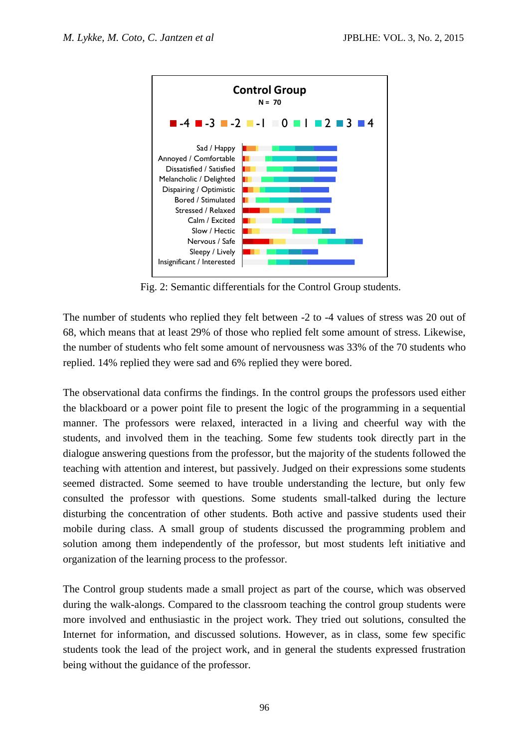

Fig. 2: Semantic differentials for the Control Group students.

The number of students who replied they felt between -2 to -4 values of stress was 20 out of 68, which means that at least 29% of those who replied felt some amount of stress. Likewise, the number of students who felt some amount of nervousness was 33% of the 70 students who replied. 14% replied they were sad and 6% replied they were bored.

The observational data confirms the findings. In the control groups the professors used either the blackboard or a power point file to present the logic of the programming in a sequential manner. The professors were relaxed, interacted in a living and cheerful way with the students, and involved them in the teaching. Some few students took directly part in the dialogue answering questions from the professor, but the majority of the students followed the teaching with attention and interest, but passively. Judged on their expressions some students seemed distracted. Some seemed to have trouble understanding the lecture, but only few consulted the professor with questions. Some students small-talked during the lecture disturbing the concentration of other students. Both active and passive students used their mobile during class. A small group of students discussed the programming problem and solution among them independently of the professor, but most students left initiative and organization of the learning process to the professor.

The Control group students made a small project as part of the course, which was observed during the walk-alongs. Compared to the classroom teaching the control group students were more involved and enthusiastic in the project work. They tried out solutions, consulted the Internet for information, and discussed solutions. However, as in class, some few specific students took the lead of the project work, and in general the students expressed frustration being without the guidance of the professor.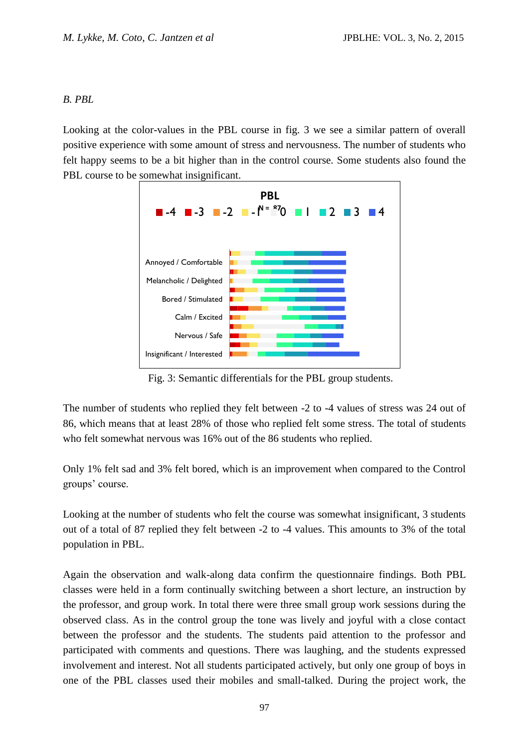#### *B. PBL*

Looking at the color-values in the PBL course in fig. 3 we see a similar pattern of overall positive experience with some amount of stress and nervousness. The number of students who felt happy seems to be a bit higher than in the control course. Some students also found the PBL course to be somewhat insignificant.



Fig. 3: Semantic differentials for the PBL group students.

The number of students who replied they felt between -2 to -4 values of stress was 24 out of 86, which means that at least 28% of those who replied felt some stress. The total of students who felt somewhat nervous was 16% out of the 86 students who replied.

Only 1% felt sad and 3% felt bored, which is an improvement when compared to the Control groups' course.

Looking at the number of students who felt the course was somewhat insignificant, 3 students out of a total of 87 replied they felt between -2 to -4 values. This amounts to 3% of the total population in PBL.

Again the observation and walk-along data confirm the questionnaire findings. Both PBL classes were held in a form continually switching between a short lecture, an instruction by the professor, and group work. In total there were three small group work sessions during the observed class. As in the control group the tone was lively and joyful with a close contact between the professor and the students. The students paid attention to the professor and participated with comments and questions. There was laughing, and the students expressed involvement and interest. Not all students participated actively, but only one group of boys in one of the PBL classes used their mobiles and small-talked. During the project work, the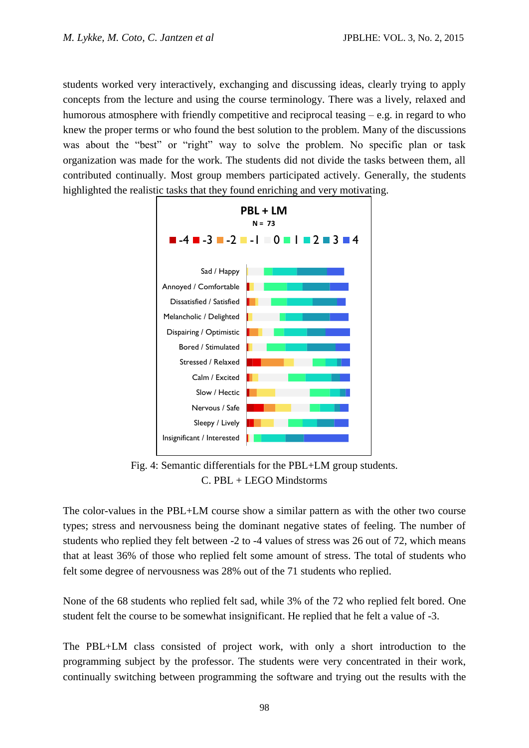students worked very interactively, exchanging and discussing ideas, clearly trying to apply concepts from the lecture and using the course terminology. There was a lively, relaxed and humorous atmosphere with friendly competitive and reciprocal teasing  $-e.g.$  in regard to who knew the proper terms or who found the best solution to the problem. Many of the discussions was about the "best" or "right" way to solve the problem. No specific plan or task organization was made for the work. The students did not divide the tasks between them, all contributed continually. Most group members participated actively. Generally, the students highlighted the realistic tasks that they found enriching and very motivating.



Fig. 4: Semantic differentials for the PBL+LM group students. C. PBL + LEGO Mindstorms

The color-values in the PBL+LM course show a similar pattern as with the other two course types; stress and nervousness being the dominant negative states of feeling. The number of students who replied they felt between -2 to -4 values of stress was 26 out of 72, which means that at least 36% of those who replied felt some amount of stress. The total of students who felt some degree of nervousness was 28% out of the 71 students who replied.

None of the 68 students who replied felt sad, while 3% of the 72 who replied felt bored. One student felt the course to be somewhat insignificant. He replied that he felt a value of -3.

The PBL+LM class consisted of project work, with only a short introduction to the programming subject by the professor. The students were very concentrated in their work, continually switching between programming the software and trying out the results with the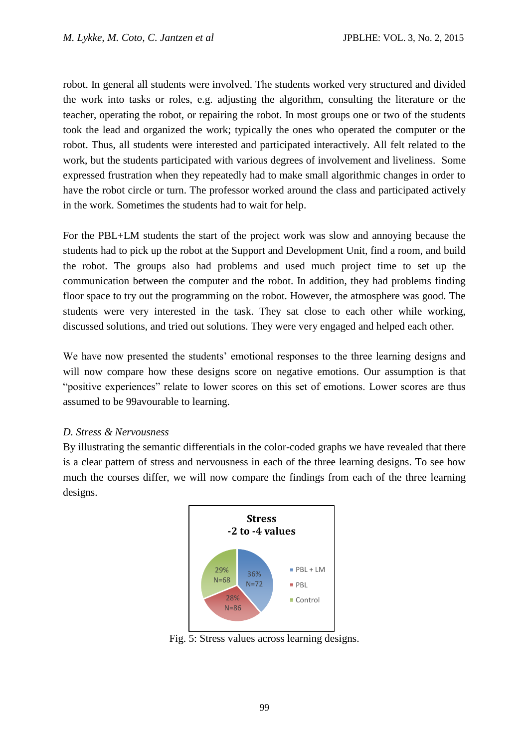robot. In general all students were involved. The students worked very structured and divided the work into tasks or roles, e.g. adjusting the algorithm, consulting the literature or the teacher, operating the robot, or repairing the robot. In most groups one or two of the students took the lead and organized the work; typically the ones who operated the computer or the robot. Thus, all students were interested and participated interactively. All felt related to the work, but the students participated with various degrees of involvement and liveliness. Some expressed frustration when they repeatedly had to make small algorithmic changes in order to have the robot circle or turn. The professor worked around the class and participated actively in the work. Sometimes the students had to wait for help.

For the PBL+LM students the start of the project work was slow and annoying because the students had to pick up the robot at the Support and Development Unit, find a room, and build the robot. The groups also had problems and used much project time to set up the communication between the computer and the robot. In addition, they had problems finding floor space to try out the programming on the robot. However, the atmosphere was good. The students were very interested in the task. They sat close to each other while working, discussed solutions, and tried out solutions. They were very engaged and helped each other.

We have now presented the students' emotional responses to the three learning designs and will now compare how these designs score on negative emotions. Our assumption is that "positive experiences" relate to lower scores on this set of emotions. Lower scores are thus assumed to be 99avourable to learning.

#### *D. Stress & Nervousness*

By illustrating the semantic differentials in the color-coded graphs we have revealed that there is a clear pattern of stress and nervousness in each of the three learning designs. To see how much the courses differ, we will now compare the findings from each of the three learning designs.



Fig. 5: Stress values across learning designs.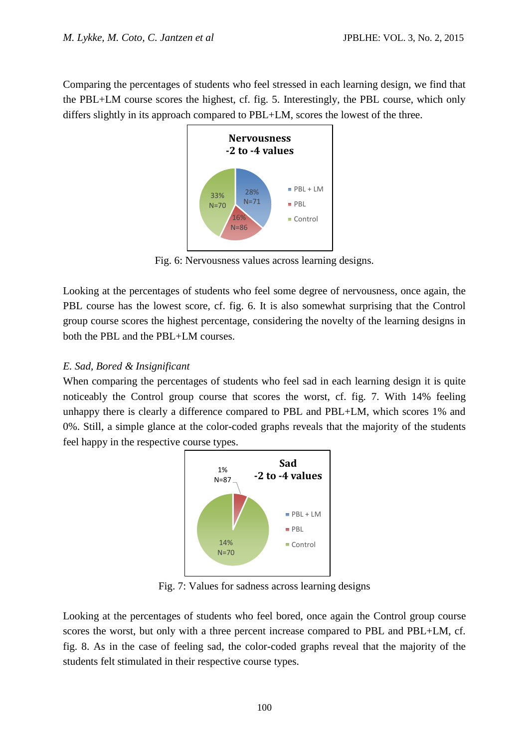Comparing the percentages of students who feel stressed in each learning design, we find that the PBL+LM course scores the highest, cf. fig. 5. Interestingly, the PBL course, which only differs slightly in its approach compared to PBL+LM, scores the lowest of the three.



Fig. 6: Nervousness values across learning designs.

Looking at the percentages of students who feel some degree of nervousness, once again, the PBL course has the lowest score, cf. fig. 6. It is also somewhat surprising that the Control group course scores the highest percentage, considering the novelty of the learning designs in both the PBL and the PBL+LM courses.

## *E. Sad, Bored & Insignificant*

When comparing the percentages of students who feel sad in each learning design it is quite noticeably the Control group course that scores the worst, cf. fig. 7. With 14% feeling unhappy there is clearly a difference compared to PBL and PBL+LM, which scores 1% and 0%. Still, a simple glance at the color-coded graphs reveals that the majority of the students feel happy in the respective course types.



Fig. 7: Values for sadness across learning designs

Looking at the percentages of students who feel bored, once again the Control group course scores the worst, but only with a three percent increase compared to PBL and PBL+LM, cf. fig. 8. As in the case of feeling sad, the color-coded graphs reveal that the majority of the students felt stimulated in their respective course types.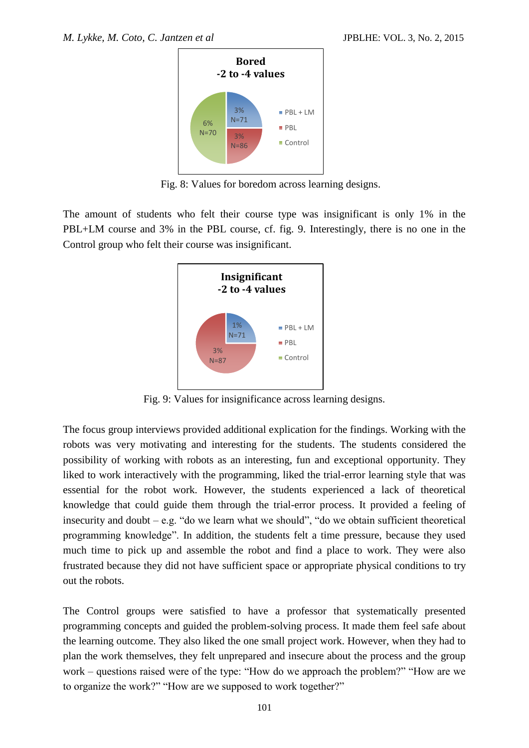

Fig. 8: Values for boredom across learning designs.

The amount of students who felt their course type was insignificant is only 1% in the PBL+LM course and 3% in the PBL course, cf. fig. 9. Interestingly, there is no one in the Control group who felt their course was insignificant.



Fig. 9: Values for insignificance across learning designs.

The focus group interviews provided additional explication for the findings. Working with the robots was very motivating and interesting for the students. The students considered the possibility of working with robots as an interesting, fun and exceptional opportunity. They liked to work interactively with the programming, liked the trial-error learning style that was essential for the robot work. However, the students experienced a lack of theoretical knowledge that could guide them through the trial-error process. It provided a feeling of insecurity and doubt – e.g. "do we learn what we should", "do we obtain sufficient theoretical programming knowledge". In addition, the students felt a time pressure, because they used much time to pick up and assemble the robot and find a place to work. They were also frustrated because they did not have sufficient space or appropriate physical conditions to try out the robots.

The Control groups were satisfied to have a professor that systematically presented programming concepts and guided the problem-solving process. It made them feel safe about the learning outcome. They also liked the one small project work. However, when they had to plan the work themselves, they felt unprepared and insecure about the process and the group work – questions raised were of the type: "How do we approach the problem?" "How are we to organize the work?" "How are we supposed to work together?"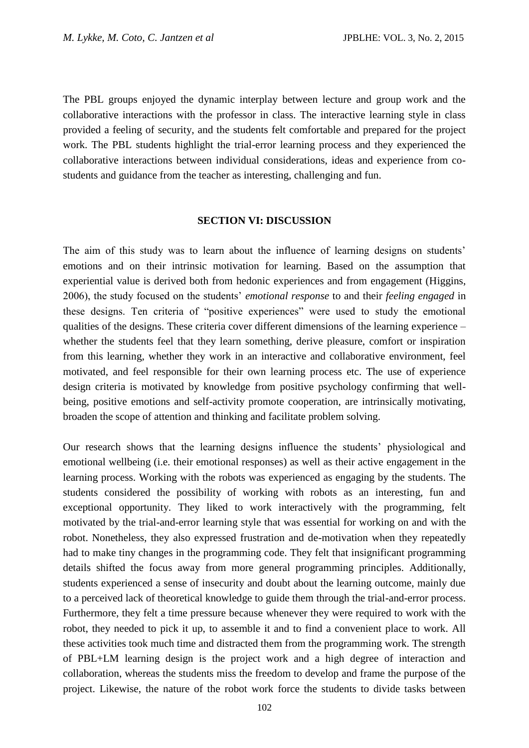The PBL groups enjoyed the dynamic interplay between lecture and group work and the collaborative interactions with the professor in class. The interactive learning style in class provided a feeling of security, and the students felt comfortable and prepared for the project work. The PBL students highlight the trial-error learning process and they experienced the collaborative interactions between individual considerations, ideas and experience from costudents and guidance from the teacher as interesting, challenging and fun.

#### **SECTION VI: DISCUSSION**

The aim of this study was to learn about the influence of learning designs on students' emotions and on their intrinsic motivation for learning. Based on the assumption that experiential value is derived both from hedonic experiences and from engagement (Higgins, 2006), the study focused on the students' *emotional response* to and their *feeling engaged* in these designs. Ten criteria of "positive experiences" were used to study the emotional qualities of the designs. These criteria cover different dimensions of the learning experience – whether the students feel that they learn something, derive pleasure, comfort or inspiration from this learning, whether they work in an interactive and collaborative environment, feel motivated, and feel responsible for their own learning process etc. The use of experience design criteria is motivated by knowledge from positive psychology confirming that wellbeing, positive emotions and self-activity promote cooperation, are intrinsically motivating, broaden the scope of attention and thinking and facilitate problem solving.

Our research shows that the learning designs influence the students' physiological and emotional wellbeing (i.e. their emotional responses) as well as their active engagement in the learning process. Working with the robots was experienced as engaging by the students. The students considered the possibility of working with robots as an interesting, fun and exceptional opportunity. They liked to work interactively with the programming, felt motivated by the trial-and-error learning style that was essential for working on and with the robot. Nonetheless, they also expressed frustration and de-motivation when they repeatedly had to make tiny changes in the programming code. They felt that insignificant programming details shifted the focus away from more general programming principles. Additionally, students experienced a sense of insecurity and doubt about the learning outcome, mainly due to a perceived lack of theoretical knowledge to guide them through the trial-and-error process. Furthermore, they felt a time pressure because whenever they were required to work with the robot, they needed to pick it up, to assemble it and to find a convenient place to work. All these activities took much time and distracted them from the programming work. The strength of PBL+LM learning design is the project work and a high degree of interaction and collaboration, whereas the students miss the freedom to develop and frame the purpose of the project. Likewise, the nature of the robot work force the students to divide tasks between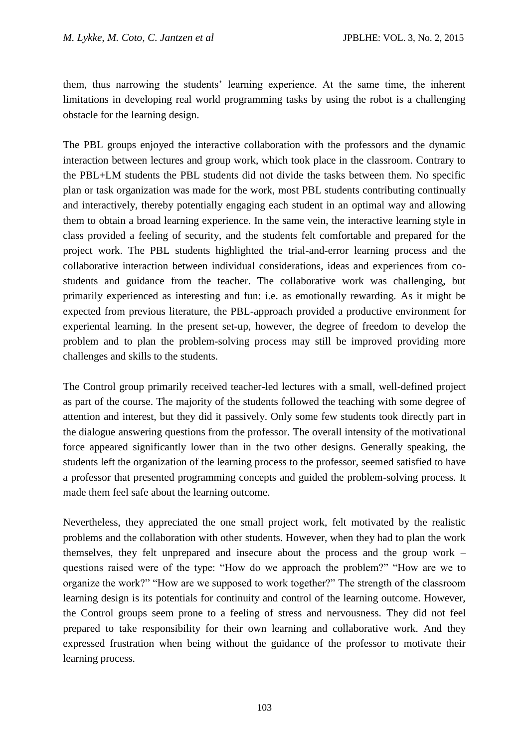them, thus narrowing the students' learning experience. At the same time, the inherent limitations in developing real world programming tasks by using the robot is a challenging obstacle for the learning design.

The PBL groups enjoyed the interactive collaboration with the professors and the dynamic interaction between lectures and group work, which took place in the classroom. Contrary to the PBL+LM students the PBL students did not divide the tasks between them. No specific plan or task organization was made for the work, most PBL students contributing continually and interactively, thereby potentially engaging each student in an optimal way and allowing them to obtain a broad learning experience. In the same vein, the interactive learning style in class provided a feeling of security, and the students felt comfortable and prepared for the project work. The PBL students highlighted the trial-and-error learning process and the collaborative interaction between individual considerations, ideas and experiences from costudents and guidance from the teacher. The collaborative work was challenging, but primarily experienced as interesting and fun: i.e. as emotionally rewarding. As it might be expected from previous literature, the PBL-approach provided a productive environment for experiental learning. In the present set-up, however, the degree of freedom to develop the problem and to plan the problem-solving process may still be improved providing more challenges and skills to the students.

The Control group primarily received teacher-led lectures with a small, well-defined project as part of the course. The majority of the students followed the teaching with some degree of attention and interest, but they did it passively. Only some few students took directly part in the dialogue answering questions from the professor. The overall intensity of the motivational force appeared significantly lower than in the two other designs. Generally speaking, the students left the organization of the learning process to the professor, seemed satisfied to have a professor that presented programming concepts and guided the problem-solving process. It made them feel safe about the learning outcome.

Nevertheless, they appreciated the one small project work, felt motivated by the realistic problems and the collaboration with other students. However, when they had to plan the work themselves, they felt unprepared and insecure about the process and the group work – questions raised were of the type: "How do we approach the problem?" "How are we to organize the work?" "How are we supposed to work together?" The strength of the classroom learning design is its potentials for continuity and control of the learning outcome. However, the Control groups seem prone to a feeling of stress and nervousness. They did not feel prepared to take responsibility for their own learning and collaborative work. And they expressed frustration when being without the guidance of the professor to motivate their learning process.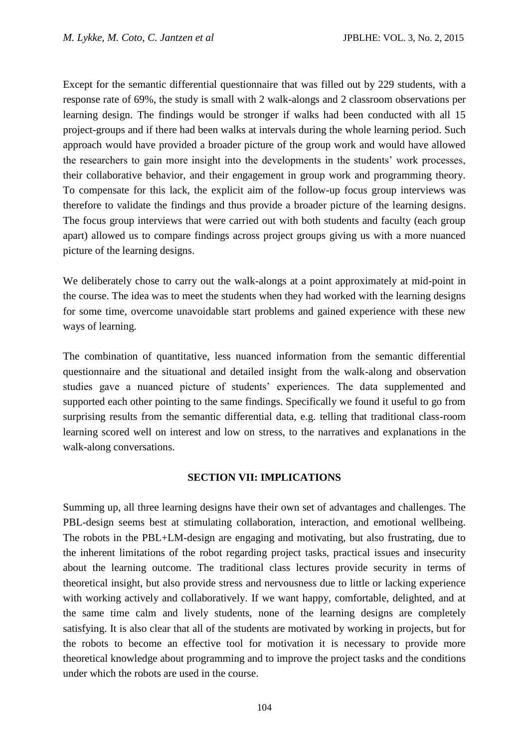Except for the semantic differential questionnaire that was filled out by 229 students, with a response rate of 69%, the study is small with 2 walk-alongs and 2 classroom observations per learning design. The findings would be stronger if walks had been conducted with all 15 project-groups and if there had been walks at intervals during the whole learning period. Such approach would have provided a broader picture of the group work and would have allowed the researchers to gain more insight into the developments in the students' work processes, their collaborative behavior, and their engagement in group work and programming theory. To compensate for this lack, the explicit aim of the follow-up focus group interviews was therefore to validate the findings and thus provide a broader picture of the learning designs. The focus group interviews that were carried out with both students and faculty (each group apart) allowed us to compare findings across project groups giving us with a more nuanced picture of the learning designs.

We deliberately chose to carry out the walk-alongs at a point approximately at mid-point in the course. The idea was to meet the students when they had worked with the learning designs for some time, overcome unavoidable start problems and gained experience with these new ways of learning.

The combination of quantitative, less nuanced information from the semantic differential questionnaire and the situational and detailed insight from the walk-along and observation studies gave a nuanced picture of students' experiences. The data supplemented and supported each other pointing to the same findings. Specifically we found it useful to go from surprising results from the semantic differential data, e.g. telling that traditional class-room learning scored well on interest and low on stress, to the narratives and explanations in the walk-along conversations.

#### **SECTION VII: IMPLICATIONS**

Summing up, all three learning designs have their own set of advantages and challenges. The PBL-design seems best at stimulating collaboration, interaction, and emotional wellbeing. The robots in the PBL+LM-design are engaging and motivating, but also frustrating, due to the inherent limitations of the robot regarding project tasks, practical issues and insecurity about the learning outcome. The traditional class lectures provide security in terms of theoretical insight, but also provide stress and nervousness due to little or lacking experience with working actively and collaboratively. If we want happy, comfortable, delighted, and at the same time calm and lively students, none of the learning designs are completely satisfying. It is also clear that all of the students are motivated by working in projects, but for the robots to become an effective tool for motivation it is necessary to provide more theoretical knowledge about programming and to improve the project tasks and the conditions under which the robots are used in the course.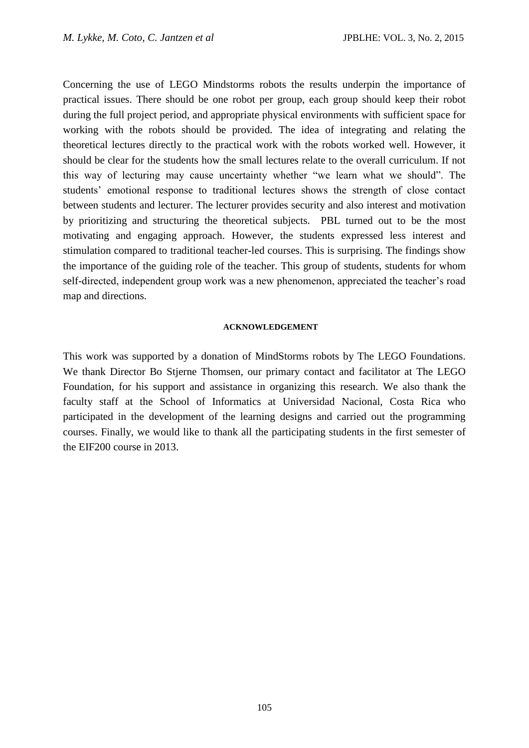Concerning the use of LEGO Mindstorms robots the results underpin the importance of practical issues. There should be one robot per group, each group should keep their robot during the full project period, and appropriate physical environments with sufficient space for working with the robots should be provided. The idea of integrating and relating the theoretical lectures directly to the practical work with the robots worked well. However, it should be clear for the students how the small lectures relate to the overall curriculum. If not this way of lecturing may cause uncertainty whether "we learn what we should". The students' emotional response to traditional lectures shows the strength of close contact between students and lecturer. The lecturer provides security and also interest and motivation by prioritizing and structuring the theoretical subjects. PBL turned out to be the most motivating and engaging approach. However, the students expressed less interest and stimulation compared to traditional teacher-led courses. This is surprising. The findings show the importance of the guiding role of the teacher. This group of students, students for whom self-directed, independent group work was a new phenomenon, appreciated the teacher's road map and directions.

#### **ACKNOWLEDGEMENT**

This work was supported by a donation of MindStorms robots by The LEGO Foundations. We thank Director Bo Stjerne Thomsen, our primary contact and facilitator at The LEGO Foundation, for his support and assistance in organizing this research. We also thank the faculty staff at the School of Informatics at Universidad Nacional, Costa Rica who participated in the development of the learning designs and carried out the programming courses. Finally, we would like to thank all the participating students in the first semester of the EIF200 course in 2013.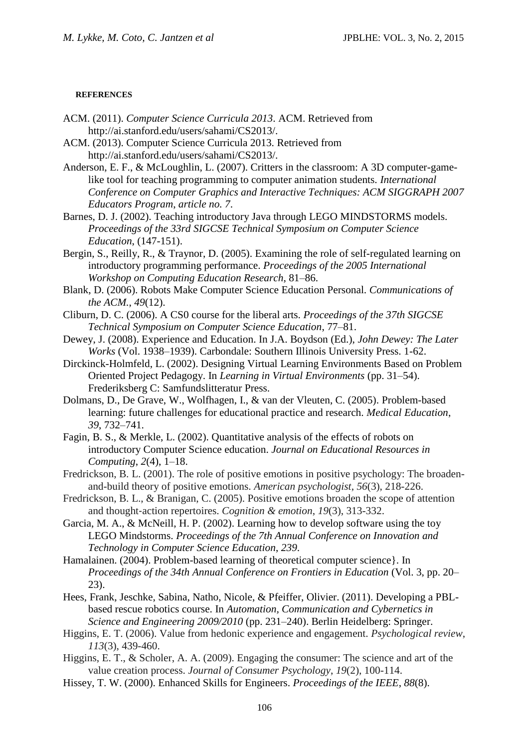#### **REFERENCES**

- ACM. (2011). *Computer Science Curricula 2013*. ACM. Retrieved from http://ai.stanford.edu/users/sahami/CS2013/.
- ACM. (2013). Computer Science Curricula 2013. Retrieved from http://ai.stanford.edu/users/sahami/CS2013/.
- Anderson, E. F., & McLoughlin, L. (2007). Critters in the classroom: A 3D computer-gamelike tool for teaching programming to computer animation students. *International Conference on Computer Graphics and Interactive Techniques: ACM SIGGRAPH 2007 Educators Program*, *article no. 7*.
- Barnes, D. J. (2002). Teaching introductory Java through LEGO MINDSTORMS models. *Proceedings of the 33rd SIGCSE Technical Symposium on Computer Science Education*, (147-151).
- Bergin, S., Reilly, R., & Traynor, D. (2005). Examining the role of self-regulated learning on introductory programming performance. *Proceedings of the 2005 International Workshop on Computing Education Research*, 81–86.
- Blank, D. (2006). Robots Make Computer Science Education Personal. *Communications of the ACM.*, *49*(12).
- Cliburn, D. C. (2006). A CS0 course for the liberal arts. *Proceedings of the 37th SIGCSE Technical Symposium on Computer Science Education*, 77–81.
- Dewey, J. (2008). Experience and Education. In J.A. Boydson (Ed.), *John Dewey: The Later Works* (Vol. 1938–1939). Carbondale: Southern Illinois University Press. 1-62.
- Dirckinck-Holmfeld, L. (2002). Designing Virtual Learning Environments Based on Problem Oriented Project Pedagogy. In *Learning in Virtual Environments* (pp. 31–54). Frederiksberg C: Samfundslitteratur Press.
- Dolmans, D., De Grave, W., Wolfhagen, I., & van der Vleuten, C. (2005). Problem-based learning: future challenges for educational practice and research. *Medical Education*, *39*, 732–741.
- Fagin, B. S., & Merkle, L. (2002). Quantitative analysis of the effects of robots on introductory Computer Science education. *Journal on Educational Resources in Computing*, *2*(4), 1–18.
- Fredrickson, B. L. (2001). The role of positive emotions in positive psychology: The broadenand-build theory of positive emotions. *American psychologist*, *56*(3), 218-226.
- Fredrickson, B. L., & Branigan, C. (2005). Positive emotions broaden the scope of attention and thought‐action repertoires. *Cognition & emotion*, *19*(3), 313-332.
- Garcia, M. A., & McNeill, H. P. (2002). Learning how to develop software using the toy LEGO Mindstorms. *Proceedings of the 7th Annual Conference on Innovation and Technology in Computer Science Education*, *239*.
- Hamalainen. (2004). Problem-based learning of theoretical computer science}. In *Proceedings of the 34th Annual Conference on Frontiers in Education* (Vol. 3, pp. 20– 23).
- Hees, Frank, Jeschke, Sabina, Natho, Nicole, & Pfeiffer, Olivier. (2011). Developing a PBLbased rescue robotics course. In *Automation, Communication and Cybernetics in Science and Engineering 2009/2010* (pp. 231–240). Berlin Heidelberg: Springer.
- Higgins, E. T. (2006). Value from hedonic experience and engagement. *Psychological review*, *113*(3), 439-460.
- Higgins, E. T., & Scholer, A. A. (2009). Engaging the consumer: The science and art of the value creation process. *Journal of Consumer Psychology*, *19*(2), 100-114.
- Hissey, T. W. (2000). Enhanced Skills for Engineers. *Proceedings of the IEEE*, *88*(8).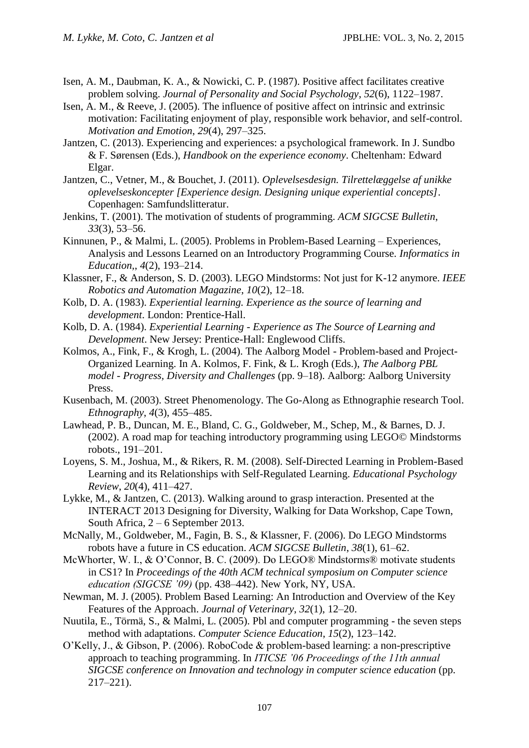- Isen, A. M., Daubman, K. A., & Nowicki, C. P. (1987). Positive affect facilitates creative problem solving. *Journal of Personality and Social Psychology*, *52*(6), 1122–1987.
- Isen, A. M., & Reeve, J. (2005). The influence of positive affect on intrinsic and extrinsic motivation: Facilitating enjoyment of play, responsible work behavior, and self-control. *Motivation and Emotion*, *29*(4), 297–325.
- Jantzen, C. (2013). Experiencing and experiences: a psychological framework. In J. Sundbo & F. Sørensen (Eds.), *Handbook on the experience economy*. Cheltenham: Edward Elgar.
- Jantzen, C., Vetner, M., & Bouchet, J. (2011). *Oplevelsesdesign. Tilrettelæggelse af unikke oplevelseskoncepter [Experience design. Designing unique experiential concepts]*. Copenhagen: Samfundslitteratur.
- Jenkins, T. (2001). The motivation of students of programming. *ACM SIGCSE Bulletin*, *33*(3), 53–56.
- Kinnunen, P., & Malmi, L. (2005). Problems in Problem-Based Learning Experiences, Analysis and Lessons Learned on an Introductory Programming Course. *Informatics in Education,*, *4*(2), 193–214.
- Klassner, F., & Anderson, S. D. (2003). LEGO Mindstorms: Not just for K-12 anymore. *IEEE Robotics and Automation Magazine*, *10*(2), 12–18.
- Kolb, D. A. (1983). *Experiential learning. Experience as the source of learning and development*. London: Prentice-Hall.
- Kolb, D. A. (1984). *Experiential Learning - Experience as The Source of Learning and Development*. New Jersey: Prentice-Hall: Englewood Cliffs.
- Kolmos, A., Fink, F., & Krogh, L. (2004). The Aalborg Model Problem-based and Project-Organized Learning. In A. Kolmos, F. Fink, & L. Krogh (Eds.), *The Aalborg PBL model - Progress, Diversity and Challenges* (pp. 9–18). Aalborg: Aalborg University Press.
- Kusenbach, M. (2003). Street Phenomenology. The Go-Along as Ethnographie research Tool. *Ethnography*, *4*(3), 455–485.
- Lawhead, P. B., Duncan, M. E., Bland, C. G., Goldweber, M., Schep, M., & Barnes, D. J. (2002). A road map for teaching introductory programming using LEGO© Mindstorms robots., 191–201.
- Loyens, S. M., Joshua, M., & Rikers, R. M. (2008). Self-Directed Learning in Problem-Based Learning and its Relationships with Self-Regulated Learning. *Educational Psychology Review*, *20*(4), 411–427.
- Lykke, M., & Jantzen, C. (2013). Walking around to grasp interaction. Presented at the INTERACT 2013 Designing for Diversity, Walking for Data Workshop, Cape Town, South Africa, 2 – 6 September 2013.
- McNally, M., Goldweber, M., Fagin, B. S., & Klassner, F. (2006). Do LEGO Mindstorms robots have a future in CS education. *ACM SIGCSE Bulletin*, *38*(1), 61–62.
- McWhorter, W. I., & O'Connor, B. C. (2009). Do LEGO® Mindstorms® motivate students in CS1? In *Proceedings of the 40th ACM technical symposium on Computer science education (SIGCSE '09)* (pp. 438–442). New York, NY, USA.
- Newman, M. J. (2005). Problem Based Learning: An Introduction and Overview of the Key Features of the Approach. *Journal of Veterinary*, *32*(1), 12–20.
- Nuutila, E., Törmä, S., & Malmi, L. (2005). Pbl and computer programming the seven steps method with adaptations. *Computer Science Education*, *15*(2), 123–142.
- O'Kelly, J., & Gibson, P. (2006). RoboCode & problem-based learning: a non-prescriptive approach to teaching programming. In *ITICSE '06 Proceedings of the 11th annual SIGCSE conference on Innovation and technology in computer science education* (pp. 217–221).